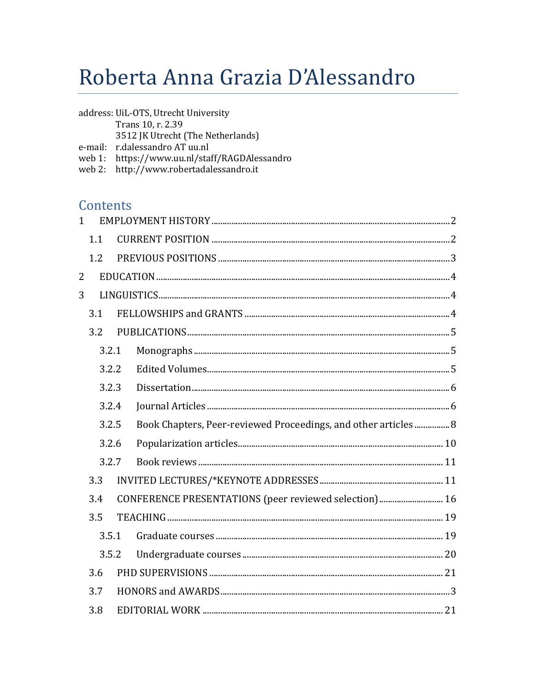# Roberta Anna Grazia D'Alessandro

| e-mail:<br>web 1: |  |                         |                                                                                                                                                                                                                                                                                                                                                       |  |
|-------------------|--|-------------------------|-------------------------------------------------------------------------------------------------------------------------------------------------------------------------------------------------------------------------------------------------------------------------------------------------------------------------------------------------------|--|
|                   |  |                         |                                                                                                                                                                                                                                                                                                                                                       |  |
|                   |  |                         |                                                                                                                                                                                                                                                                                                                                                       |  |
| $1 \quad$         |  |                         |                                                                                                                                                                                                                                                                                                                                                       |  |
| 1.1               |  |                         |                                                                                                                                                                                                                                                                                                                                                       |  |
| 1.2               |  |                         |                                                                                                                                                                                                                                                                                                                                                       |  |
|                   |  |                         |                                                                                                                                                                                                                                                                                                                                                       |  |
|                   |  |                         |                                                                                                                                                                                                                                                                                                                                                       |  |
| 3.1               |  |                         |                                                                                                                                                                                                                                                                                                                                                       |  |
| 3.2               |  |                         |                                                                                                                                                                                                                                                                                                                                                       |  |
|                   |  |                         |                                                                                                                                                                                                                                                                                                                                                       |  |
|                   |  |                         |                                                                                                                                                                                                                                                                                                                                                       |  |
| 3.2.3             |  |                         |                                                                                                                                                                                                                                                                                                                                                       |  |
| 3.2.4             |  |                         |                                                                                                                                                                                                                                                                                                                                                       |  |
| 3.2.5             |  |                         |                                                                                                                                                                                                                                                                                                                                                       |  |
| 3.2.6             |  |                         |                                                                                                                                                                                                                                                                                                                                                       |  |
| 3.2.7             |  |                         |                                                                                                                                                                                                                                                                                                                                                       |  |
| 3.3               |  |                         |                                                                                                                                                                                                                                                                                                                                                       |  |
| 3.4               |  |                         |                                                                                                                                                                                                                                                                                                                                                       |  |
| 3.5               |  |                         |                                                                                                                                                                                                                                                                                                                                                       |  |
|                   |  |                         |                                                                                                                                                                                                                                                                                                                                                       |  |
| 3.5.2             |  |                         |                                                                                                                                                                                                                                                                                                                                                       |  |
| 3.6               |  |                         |                                                                                                                                                                                                                                                                                                                                                       |  |
| 3.7               |  |                         |                                                                                                                                                                                                                                                                                                                                                       |  |
|                   |  | 3.2.1<br>3.2.2<br>3.5.1 | address: UiL-OTS, Utrecht University<br>Trans 10, r. 2.39<br>3512 JK Utrecht (The Netherlands)<br>r.dalessandro AT uu.nl<br>https://www.uu.nl/staff/RAGDAlessandro<br>web 2: http://www.robertadalessandro.it<br>Contents<br>Book Chapters, Peer-reviewed Proceedings, and other articles  8<br>CONFERENCE PRESENTATIONS (peer reviewed selection) 16 |  |

3.8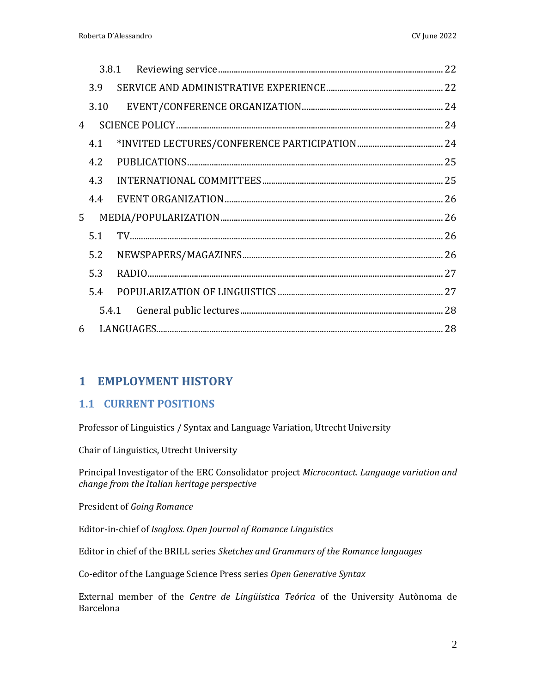| 6 |                                                                                                 |  |  |  |
|---|-------------------------------------------------------------------------------------------------|--|--|--|
|   | 3.9<br>$\overline{4}$<br>4.1<br>4.2<br>4.3<br>4.4<br>5 <sup>1</sup><br>5.1<br>5.2<br>5.3<br>5.4 |  |  |  |

# <span id="page-1-0"></span>**1 EMPLOYMENT HISTORY**

# <span id="page-1-1"></span>**1.1 CURRENT POSITIONS**

Professor of Linguistics / Syntax and Language Variation, Utrecht University

Chair of Linguistics, Utrecht University

Principal Investigator of the ERC Consolidator project *Microcontact. Language variation and change from the Italian heritage perspective*

President of *Going Romance*

Editor-in-chief of *Isogloss. Open Journal of Romance Linguistics*

Editor in chief of the BRILL series *Sketches and Grammars of the Romance languages*

Co-editor of the Language Science Press series *Open Generative Syntax*

External member of the *Centre de Lingüística Teórica* of the University Autònoma de Barcelona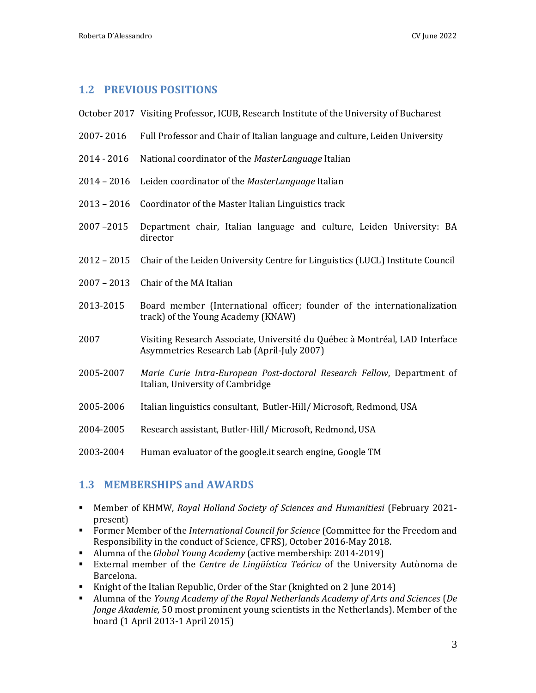# <span id="page-2-0"></span>**1.2 PREVIOUS POSITIONS**

- October 2017 Visiting Professor, ICUB, Research Institute of the University of Bucharest
- 2007- 2016 Full Professor and Chair of Italian language and culture, Leiden University
- 2014 2016 National coordinator of the *MasterLanguage* Italian
- 2014 2016 Leiden coordinator of the *MasterLanguage* Italian
- 2013 2016 Coordinator of the Master Italian Linguistics track
- 2007 –2015 Department chair, Italian language and culture, Leiden University: BA director
- 2012 2015 Chair of the Leiden University Centre for Linguistics (LUCL) Institute Council
- 2007 2013 Chair of the MA Italian
- 2013-2015 Board member (International officer; founder of the internationalization track) of the Young Academy (KNAW)
- 2007 Visiting Research Associate, Université du Québec à Montréal, LAD Interface Asymmetries Research Lab (April-July 2007)
- 2005-2007 *Marie Curie Intra-European Post-doctoral Research Fellow*, Department of Italian, University of Cambridge
- 2005-2006 Italian linguistics consultant, Butler-Hill/ Microsoft, Redmond, USA
- 2004-2005 Research assistant, Butler-Hill/ Microsoft, Redmond, USA
- 2003-2004 Human evaluator of the google.it search engine, Google TM

# <span id="page-2-1"></span>**1.3 MEMBERSHIPS and AWARDS**

- Member of KHMW, *Royal Holland Society of Sciences and Humanitiesi* (February 2021 present)
- Former Member of the *International Council for Science* (Committee for the Freedom and Responsibility in the conduct of Science, CFRS), October 2016-May 2018.
- Alumna of the *Global Young Academy* (active membership: 2014-2019)
- External member of the *Centre de Lingüística Teórica* of the University Autònoma de Barcelona.
- Knight of the Italian Republic, Order of the Star (knighted on 2 June 2014)
- Alumna of the *Young Academy of the Royal Netherlands Academy of Arts and Sciences* (*De Jonge Akademie,* 50 most prominent young scientists in the Netherlands). Member of the board (1 April 2013-1 April 2015)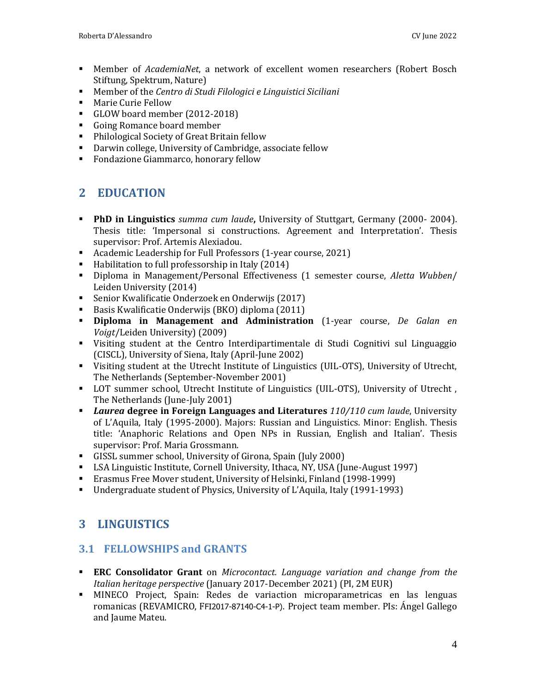- Member of *AcademiaNet*, a network of excellent women researchers (Robert Bosch Stiftung, Spektrum, Nature)
- Member of the *Centro di Studi Filologici e Linguistici Siciliani*
- Marie Curie Fellow
- GLOW board member (2012-2018)
- Going Romance board member
- Philological Society of Great Britain fellow
- Darwin college, University of Cambridge, associate fellow
- <span id="page-3-0"></span>■ Fondazione Giammarco, honorary fellow

# **2 EDUCATION**

- **PhD in Linguistics** *summa cum laude***,** University of Stuttgart, Germany (2000- 2004). Thesis title: 'Impersonal si constructions. Agreement and Interpretation'. Thesis supervisor: Prof. Artemis Alexiadou.
- Academic Leadership for Full Professors (1-year course, 2021)
- Habilitation to full professorship in Italy (2014)
- Diploma in Management/Personal Effectiveness (1 semester course, *Aletta Wubben*/ Leiden University (2014)
- Senior Kwalificatie Onderzoek en Onderwijs (2017)
- Basis Kwalificatie Onderwijs (BKO) diploma (2011)
- **Diploma in Management and Administration** (1-year course, *De Galan en Voigt*/Leiden University) (2009)
- Visiting student at the Centro Interdipartimentale di Studi Cognitivi sul Linguaggio (CISCL), University of Siena, Italy (April-June 2002)
- Visiting student at the Utrecht Institute of Linguistics (UIL-OTS), University of Utrecht, The Netherlands (September-November 2001)
- **•** LOT summer school, Utrecht Institute of Linguistics (UIL-OTS), University of Utrecht, The Netherlands (June-July 2001)
- *Laurea* **degree in Foreign Languages and Literatures** *110/110 cum laude*, University of L'Aquila, Italy (1995-2000). Majors: Russian and Linguistics. Minor: English. Thesis title: 'Anaphoric Relations and Open NPs in Russian, English and Italian'. Thesis supervisor: Prof. Maria Grossmann.
- GISSL summer school, University of Girona, Spain (July 2000)
- LSA Linguistic Institute, Cornell University, Ithaca, NY, USA (June-August 1997)
- Erasmus Free Mover student, University of Helsinki, Finland (1998-1999)
- <span id="page-3-1"></span>▪ Undergraduate student of Physics, University of L'Aquila, Italy (1991-1993)

# **3 LINGUISTICS**

# <span id="page-3-2"></span>**3.1 FELLOWSHIPS and GRANTS**

- **ERC Consolidator Grant** on *Microcontact. Language variation and change from the Italian heritage perspective* (January 2017-December 2021) (PI, 2M EUR)
- MINECO Project, Spain: Redes de variaction microparametricas en las lenguas romanicas (REVAMICRO, FFI2017-87140-C4-1-P). Project team member. PIs: Ángel Gallego and Jaume Mateu.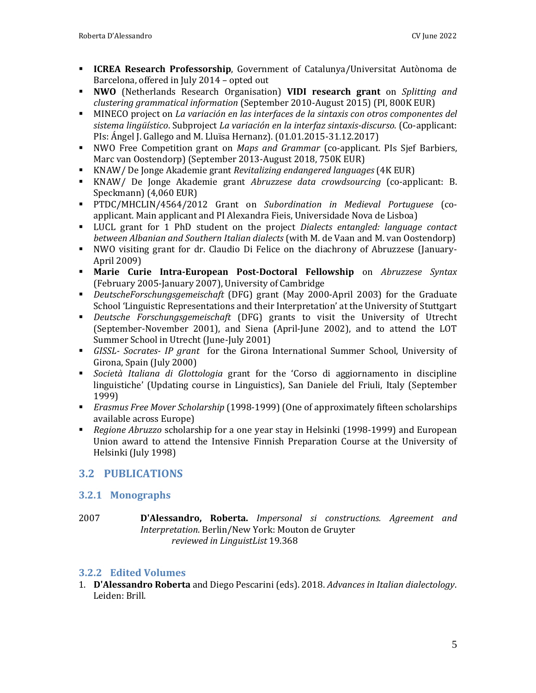- **ICREA Research Professorship**, Government of Catalunya/Universitat Autònoma de Barcelona, offered in July 2014 – opted out
- **NWO** (Netherlands Research Organisation) **VIDI research grant** on *Splitting and clustering grammatical information* (September 2010-August 2015) (PI, 800K EUR)
- MINECO project on *La variación en las interfaces de la sintaxis con otros componentes del sistema lingüístico*. Subproject *La variación en la interfaz sintaxis-discurso*. (Co-applicant: PIs: Ángel J. Gallego and M. Lluïsa Hernanz). (01.01.2015-31.12.2017)
- NWO Free Competition grant on *Maps and Grammar* (co-applicant. PIs Sjef Barbiers, Marc van Oostendorp) (September 2013-August 2018, 750K EUR)
- KNAW/ De Jonge Akademie grant *Revitalizing endangered languages* (4K EUR)
- KNAW/ De Jonge Akademie grant *Abruzzese data crowdsourcing* (co-applicant: B. Speckmann) (4,060 EUR)
- PTDC/MHCLIN/4564/2012 Grant on *Subordination in Medieval Portuguese* (coapplicant. Main applicant and PI Alexandra Fieis, Universidade Nova de Lisboa)
- LUCL grant for 1 PhD student on the project *Dialects entangled: language contact between Albanian and Southern Italian dialects* (with M. de Vaan and M. van Oostendorp)
- NWO visiting grant for dr. Claudio Di Felice on the diachrony of Abruzzese (January-April 2009)
- **Marie Curie Intra-European Post-Doctoral Fellowship** on *Abruzzese Syntax* (February 2005-January 2007), University of Cambridge
- *DeutscheForschungsgemeischaft* (DFG) grant (May 2000-April 2003) for the Graduate School 'Linguistic Representations and their Interpretation' at the University of Stuttgart
- *Deutsche Forschungsgemeischaft* (DFG) grants to visit the University of Utrecht (September-November 2001), and Siena (April-June 2002), and to attend the LOT Summer School in Utrecht (June-July 2001)
- *GISSL- Socrates- IP grant* for the Girona International Summer School, University of Girona, Spain (July 2000)
- *Società Italiana di Glottologia* grant for the 'Corso di aggiornamento in discipline linguistiche' (Updating course in Linguistics), San Daniele del Friuli, Italy (September 1999)
- *Erasmus Free Mover Scholarship* (1998-1999) (One of approximately fifteen scholarships available across Europe)
- *Regione Abruzzo* scholarship for a one year stay in Helsinki (1998-1999) and European Union award to attend the Intensive Finnish Preparation Course at the University of Helsinki (July 1998)

# <span id="page-4-0"></span>**3.2 PUBLICATIONS**

# <span id="page-4-1"></span>**3.2.1 Monographs**

2007 **D'Alessandro, Roberta.** *Impersonal si constructions. Agreement and Interpretation*. Berlin/New York: Mouton de Gruyter *reviewed in LinguistList* 19.368

# <span id="page-4-2"></span>**3.2.2 Edited Volumes**

1. **D'Alessandro Roberta** and Diego Pescarini (eds). 2018. *Advances in Italian dialectology*. Leiden: Brill.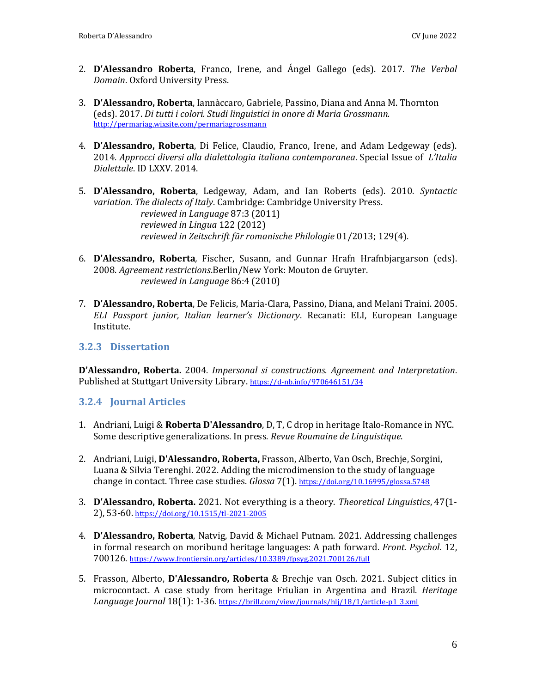- 2. **D'Alessandro Roberta**, Franco, Irene, and Ángel Gallego (eds). 2017. *The Verbal Domain*. Oxford University Press.
- 3. **D'Alessandro, Roberta**, Iannàccaro, Gabriele, Passino, Diana and Anna M. Thornton (eds). 2017. *Di tutti i colori. Studi linguistici in onore di Maria Grossmann.*  <http://permariag.wixsite.com/permariagrossmann>
- 4. **D'Alessandro, Roberta**, Di Felice, Claudio, Franco, Irene, and Adam Ledgeway (eds). 2014. *Approcci diversi alla dialettologia italiana contemporanea*. Special Issue of *L'Italia Dialettale*. ID LXXV. 2014.
- 5. **D'Alessandro, Roberta**, Ledgeway, Adam, and Ian Roberts (eds). 2010. *Syntactic variation. The dialects of Italy*. Cambridge: Cambridge University Press. *reviewed in Language* 87:3 (2011) *reviewed in Lingua* 122 (2012) *reviewed in Zeitschrift für romanische Philologie* 01/2013; 129(4).
- 6. **D'Alessandro, Roberta***,* Fischer, Susann, and Gunnar Hrafn Hrafnbjargarson (eds). 2008. *Agreement restrictions*.Berlin/New York: Mouton de Gruyter. *reviewed in Language* 86:4 (2010)
- 7. **D'Alessandro, Roberta**, De Felicis, Maria-Clara, Passino, Diana, and Melani Traini. 2005. *ELI Passport junior, Italian learner's Dictionary*. Recanati: ELI, European Language Institute.

#### <span id="page-5-0"></span>**3.2.3 Dissertation**

**D'Alessandro, Roberta.** 2004. *Impersonal si constructions. Agreement and Interpretation*. Published at Stuttgart University Library. <https://d-nb.info/970646151/34>

#### <span id="page-5-1"></span>**3.2.4 Journal Articles**

- 1. Andriani, Luigi & **Roberta D'Alessandro**, D, T, C drop in heritage Italo-Romance in NYC. Some descriptive generalizations. In press. *Revue Roumaine de Linguistique*.
- 2. Andriani, Luigi, **D'Alessandro, Roberta,** Frasson, Alberto, Van Osch, Brechje, Sorgini, Luana & Silvia Terenghi. 2022. Adding the microdimension to the study of language change in contact. Three case studies. *Glossa* 7(1). <https://doi.org/10.16995/glossa.5748>
- 3. **D'Alessandro, Roberta.** 2021. Not everything is a theory. *Theoretical Linguistics*, 47(1- 2), 53-60. <https://doi.org/10.1515/tl-2021-2005>
- 4. **D'Alessandro, Roberta**, Natvig, David & Michael Putnam. 2021. Addressing challenges in formal research on moribund heritage languages: A path forward. *Front. Psychol*. 12, 700126. https://www.frontiersin.org/articles/10.3389/fpsyg.2021.700126/full
- 5. Frasson, Alberto, **D'Alessandro, Roberta** & Brechje van Osch. 2021. Subject clitics in microcontact. A case study from heritage Friulian in Argentina and Brazil. *Heritage Language Journal* 18(1): 1-36. https://brill.com/view/journals/hlj/18/1/article-p1\_3.xml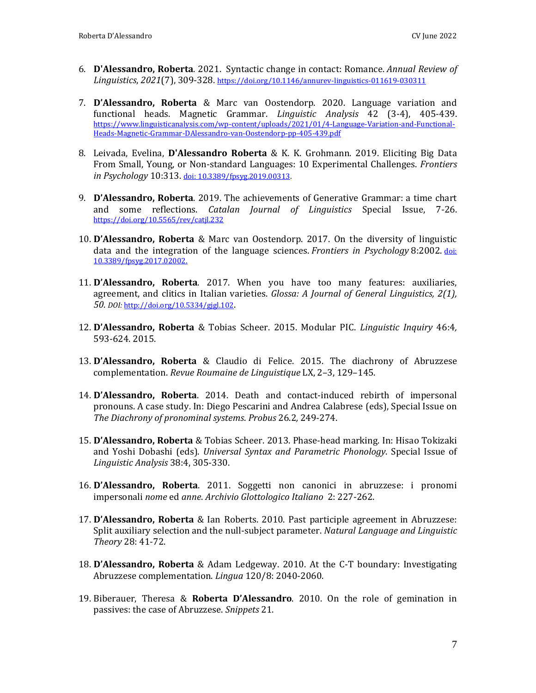- 6. **D'Alessandro, Roberta**. 2021. Syntactic change in contact: Romance. *Annual Review of Linguistics*, *2021*(7), 309-328. <https://doi.org/10.1146/annurev-linguistics-011619-030311>
- 7. **D'Alessandro, Roberta** & Marc van Oostendorp. 2020. Language variation and functional heads. Magnetic Grammar. *Linguistic Analysis* 42 (3-4), 405-439. https://www.linguisticanalysis.com/wp-content/uploads/2021/01/4-Language-Variation-and-Functional-Heads-Magnetic-Grammar-DAlessandro-van-Oostendorp-pp-405-439.pdf
- 8. Leivada, Evelina, **D'Alessandro Roberta** & K. K. Grohmann. 2019. Eliciting Big Data From Small, Young, or Non-standard Languages: 10 Experimental Challenges. *Frontiers in Psychology* 10:313. [doi: 10.3389/fpsyg.2019.00313.](https://www.frontiersin.org/articles/10.3389/fpsyg.2019.00313/full)
- 9. **D'Alessandro, Roberta**. 2019. The achievements of Generative Grammar: a time chart and some reflections. *Catalan Journal of Linguistics* Special Issue, 7-26. <https://doi.org/10.5565/rev/catjl.232>
- 10. **D'Alessandro, Roberta** & Marc van Oostendorp. 2017. On the diversity of linguistic data and the integration of the language sciences. *Frontiers in Psychology* 8:2002. [doi:](https://www.frontiersin.org/articles/10.3389/fpsyg.2017.02002/full)  [10.3389/fpsyg.2017.02002.](https://www.frontiersin.org/articles/10.3389/fpsyg.2017.02002/full)
- 11. **D'Alessandro, Roberta**. 2017. When you have too many features: auxiliaries, agreement, and clitics in Italian varieties. *Glossa: A Journal of General Linguistics, 2(1), 50. DOI:* <http://doi.org/10.5334/gjgl.102>.
- 12. **D'Alessandro, Roberta** & Tobias Scheer. 2015. Modular PIC. *Linguistic Inquiry* 46:4*,* 593-624. 2015.
- 13. **D'Alessandro, Roberta** & Claudio di Felice. 2015. The diachrony of Abruzzese complementation. *Revue Roumaine de Linguistique* LX, 2–3, 129–145.
- 14. **D'Alessandro, Roberta**. 2014. Death and contact-induced rebirth of impersonal pronouns. A case study. In: Diego Pescarini and Andrea Calabrese (eds), Special Issue on *The Diachrony of pronominal systems*. *Probus* 26.2*,* 249-274.
- 15. **D'Alessandro, Roberta** & Tobias Scheer. 2013. Phase-head marking. In: Hisao Tokizaki and Yoshi Dobashi (eds). *Universal Syntax and Parametric Phonology*. Special Issue of *Linguistic Analysis* 38:4, 305-330.
- 16. **D'Alessandro, Roberta**. 2011. Soggetti non canonici in abruzzese: i pronomi impersonali *nome* ed *anne*. *Archivio Glottologico Italiano* 2: 227-262.
- 17. **D'Alessandro, Roberta** & Ian Roberts. 2010. Past participle agreement in Abruzzese: Split auxiliary selection and the null-subject parameter. *Natural Language and Linguistic Theory* 28: 41-72.
- 18. **D'Alessandro, Roberta** & Adam Ledgeway. 2010. At the C-T boundary: Investigating Abruzzese complementation. *Lingua* 120/8: 2040-2060.
- 19. Biberauer, Theresa & **Roberta D'Alessandro**. 2010. On the role of gemination in passives: the case of Abruzzese. *Snippets* 21.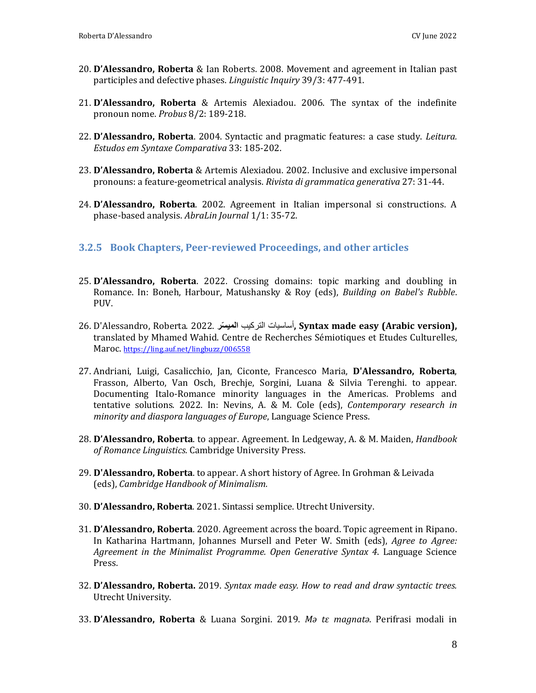- 20. **D'Alessandro, Roberta** & Ian Roberts. 2008. Movement and agreement in Italian past participles and defective phases. *Linguistic Inquiry* 39/3: 477-491.
- 21. **D'Alessandro, Roberta** & Artemis Alexiadou. 2006. The syntax of the indefinite pronoun nome. *Probus* 8/2: 189-218.
- 22. **D'Alessandro, Roberta**. 2004. Syntactic and pragmatic features: a case study. *Leitura. Estudos em Syntaxe Comparativa* 33: 185-202.
- 23. **D'Alessandro, Roberta** & Artemis Alexiadou. 2002. Inclusive and exclusive impersonal pronouns: a feature-geometrical analysis. *Rivista di grammatica generativa* 27: 31-44.
- 24. **D'Alessandro, Roberta**. 2002. Agreement in Italian impersonal si constructions. A phase-based analysis. *AbraLin Journal* 1/1: 35-72.

#### <span id="page-7-0"></span>**3.2.5 Book Chapters, Peer-reviewed Proceedings, and other articles**

- 25. **D'Alessandro, Roberta**. 2022. Crossing domains: topic marking and doubling in Romance. In: Boneh, Harbour, Matushansky & Roy (eds), *Building on Babel's Rubble*. PUV.
- 26. D'Alessandro, Roberta. 2022. **سرّ المي** التركيب أساسيات**, Syntax made easy (Arabic version),** translated by Mhamed Wahid. Centre de Recherches Sémiotiques et Etudes Culturelles, Maroc. <https://ling.auf.net/lingbuzz/006558>
- 27. Andriani, Luigi, Casalicchio, Jan, Ciconte, Francesco Maria, **D'Alessandro, Roberta**, Frasson, Alberto, Van Osch, Brechje, Sorgini, Luana & Silvia Terenghi. to appear. Documenting Italo-Romance minority languages in the Americas. Problems and tentative solutions. 2022. In: Nevins, A. & M. Cole (eds), *Contemporary research in minority and diaspora languages of Europe*, Language Science Press.
- 28. **D'Alessandro, Roberta**. to appear. Agreement. In Ledgeway, A. & M. Maiden, *Handbook of Romance Linguistics.* Cambridge University Press.
- 29. **D'Alessandro, Roberta**. to appear. A short history of Agree. In Grohman & Leivada (eds), *Cambridge Handbook of Minimalism.*
- 30. **D'Alessandro, Roberta**. 2021. Sintassi semplice. Utrecht University.
- 31. **D'Alessandro, Roberta**. 2020. Agreement across the board. Topic agreement in Ripano. In Katharina Hartmann, Johannes Mursell and Peter W. Smith (eds), *Agree to Agree: Agreement in the Minimalist Programme. Open Generative Syntax 4*. Language Science Press.
- 32. **D'Alessandro, Roberta.** 2019. *Syntax made easy. How to read and draw syntactic trees.*  Utrecht University.
- 33. **D'Alessandro, Roberta** & Luana Sorgini. 2019. *Mə tε magnatə*. Perifrasi modali in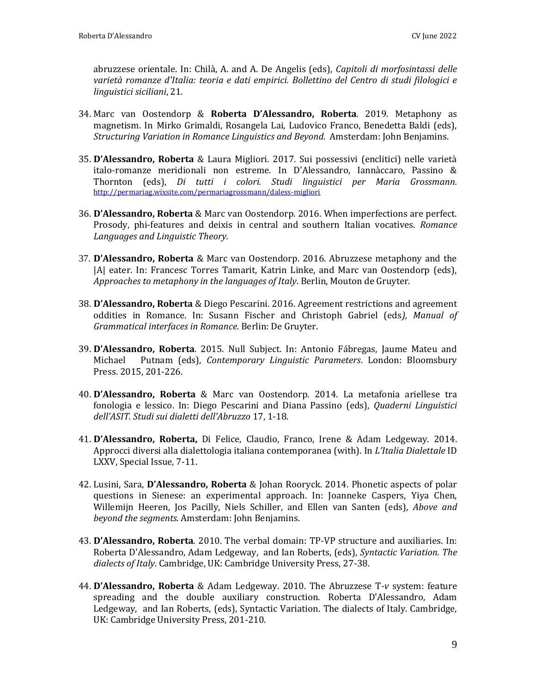abruzzese orientale. In: Chilà, A. and A. De Angelis (eds), *Capitoli di morfosintassi delle varietà romanze d'Italia: teoria e dati empirici. Bollettino del Centro di studi filologici e linguistici siciliani*, 21.

- 34. Marc van Oostendorp & **Roberta D'Alessandro, Roberta**. 2019. Metaphony as magnetism. In Mirko Grimaldi, Rosangela Lai, Ludovico Franco, Benedetta Baldi (eds), *Structuring Variation in Romance Linguistics and Beyond*. Amsterdam: John Benjamins.
- 35. **D'Alessandro, Roberta** & Laura Migliori. 2017. Sui possessivi (enclitici) nelle varietà italo-romanze meridionali non estreme. In D'Alessandro, Iannàccaro, Passino & Thornton (eds), *Di tutti i colori. Studi linguistici per Maria Grossmann.*  <http://permariag.wixsite.com/permariagrossmann/daless-migliori>
- 36. **D'Alessandro, Roberta** & Marc van Oostendorp. 2016. When imperfections are perfect. Prosody, phi-features and deixis in central and southern Italian vocatives. *Romance Languages and Linguistic Theory.*
- 37. **D'Alessandro, Roberta** & Marc van Oostendorp. 2016. Abruzzese metaphony and the |A| eater. In: Francesc Torres Tamarit, Katrin Linke, and Marc van Oostendorp (eds), *Approaches to metaphony in the languages of Italy*. Berlin, Mouton de Gruyter.
- 38. **D'Alessandro, Roberta** & Diego Pescarini. 2016. Agreement restrictions and agreement oddities in Romance. In: Susann Fischer and Christoph Gabriel (eds*), Manual of Grammatical interfaces in Romance.* Berlin: De Gruyter.
- 39. **D'Alessandro, Roberta**. 2015. Null Subject. In: Antonio Fábregas, Jaume Mateu and Michael Putnam (eds), *Contemporary Linguistic Parameters*. London: Bloomsbury Press. 2015, 201-226.
- 40. **D'Alessandro, Roberta** & Marc van Oostendorp. 2014. La metafonia ariellese tra fonologia e lessico. In: Diego Pescarini and Diana Passino (eds), *Quaderni Linguistici dell'ASIT. Studi sui dialetti dell'Abruzzo* 17, 1-18.
- 41. **D'Alessandro, Roberta,** Di Felice, Claudio, Franco, Irene & Adam Ledgeway. 2014. Approcci diversi alla dialettologia italiana contemporanea (with). In *L'Italia Dialettale* ID LXXV, Special Issue, 7-11.
- 42. Lusini, Sara, **D'Alessandro, Roberta** & Johan Rooryck. 2014. Phonetic aspects of polar questions in Sienese: an experimental approach. In: Joanneke Caspers, Yiya Chen, Willemijn Heeren, Jos Pacilly, Niels Schiller, and Ellen van Santen (eds), *Above and beyond the segments*. Amsterdam: John Benjamins.
- 43. **D'Alessandro, Roberta**. 2010. The verbal domain: TP-VP structure and auxiliaries. In: Roberta D'Alessandro, Adam Ledgeway, and Ian Roberts, (eds), *Syntactic Variation. The dialects of Italy*. Cambridge, UK: Cambridge University Press, 27-38.
- 44. **D'Alessandro, Roberta** & Adam Ledgeway. 2010. The Abruzzese T*-v* system: feature spreading and the double auxiliary construction. Roberta D'Alessandro, Adam Ledgeway, and Ian Roberts, (eds), Syntactic Variation. The dialects of Italy. Cambridge, UK: Cambridge University Press, 201-210.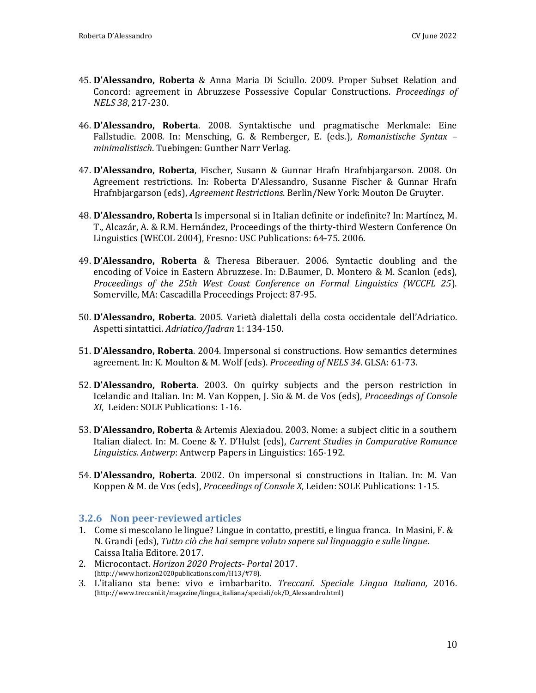- 45. **D'Alessandro, Roberta** & Anna Maria Di Sciullo. 2009. Proper Subset Relation and Concord: agreement in Abruzzese Possessive Copular Constructions. *Proceedings of NELS 38*, 217-230.
- 46. **D'Alessandro, Roberta**. 2008. Syntaktische und pragmatische Merkmale: Eine Fallstudie. 2008. In: Mensching, G. & Remberger, E. (eds.), *Romanistische Syntax – minimalistisch*. Tuebingen: Gunther Narr Verlag.
- 47. **D'Alessandro, Roberta**, Fischer, Susann & Gunnar Hrafn Hrafnbjargarson. 2008. On Agreement restrictions. In: Roberta D'Alessandro, Susanne Fischer & Gunnar Hrafn Hrafnbjargarson (eds), *Agreement Restrictions*. Berlin/New York: Mouton De Gruyter.
- 48. **D'Alessandro, Roberta** Is impersonal si in Italian definite or indefinite? In: Martínez, M. T., Alcazár, A. & R.M. Hernández, Proceedings of the thirty-third Western Conference On Linguistics (WECOL 2004), Fresno: USC Publications: 64-75. 2006.
- 49. **D'Alessandro, Roberta** & Theresa Biberauer. 2006. Syntactic doubling and the encoding of Voice in Eastern Abruzzese. In: D.Baumer, D. Montero & M. Scanlon (eds), *Proceedings of the 25th West Coast Conference on Formal Linguistics (WCCFL 25*). Somerville, MA: Cascadilla Proceedings Project: 87-95.
- 50. **D'Alessandro, Roberta**. 2005. Varietà dialettali della costa occidentale dell'Adriatico. Aspetti sintattici. *Adriatico/Jadran* 1: 134-150.
- 51. **D'Alessandro, Roberta**. 2004. Impersonal si constructions. How semantics determines agreement. In: K. Moulton & M. Wolf (eds). *Proceeding of NELS 34*. GLSA: 61-73.
- 52. **D'Alessandro, Roberta**. 2003. On quirky subjects and the person restriction in Icelandic and Italian. In: M. Van Koppen, J. Sio & M. de Vos (eds), *Proceedings of Console XI*, Leiden: SOLE Publications: 1-16.
- 53. **D'Alessandro, Roberta** & Artemis Alexiadou. 2003. Nome: a subject clitic in a southern Italian dialect. In: M. Coene & Y. D'Hulst (eds), *Current Studies in Comparative Romance Linguistics. Antwerp*: Antwerp Papers in Linguistics: 165-192.
- 54. **D'Alessandro, Roberta**. 2002. On impersonal si constructions in Italian. In: M. Van Koppen & M. de Vos (eds), *Proceedings of Console X*, Leiden: SOLE Publications: 1-15.

#### <span id="page-9-0"></span>**3.2.6 Non peer-reviewed articles**

- 1. Come si mescolano le lingue? Lingue in contatto, prestiti, e lingua franca. In Masini, F. & N. Grandi (eds), *Tutto ciò che hai sempre voluto sapere sul linguaggio e sulle lingue*. Caissa Italia Editore. 2017.
- 2. Microcontact. *Horizon 2020 Projects- Portal* 2017. (http://www.horizon2020publications.com/H13/#78).
- 3. L'italiano sta bene: vivo e imbarbarito. *Treccani. Speciale Lingua Italiana,* 2016. (http://www.treccani.it/magazine/lingua\_italiana/speciali/ok/D\_Alessandro.html)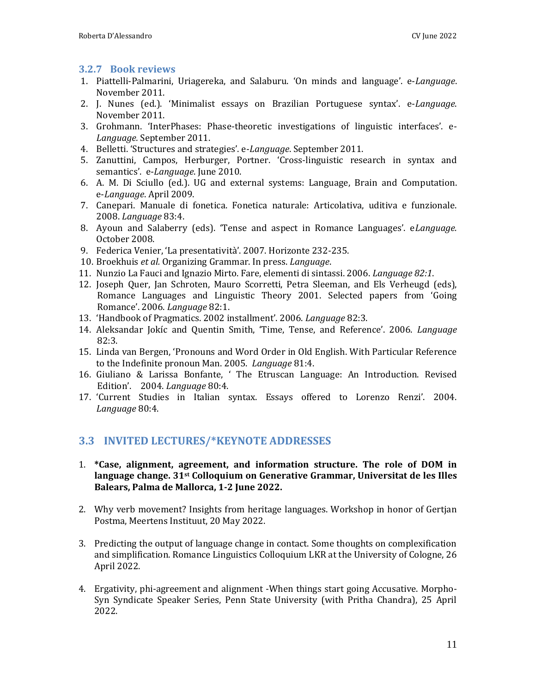#### <span id="page-10-0"></span>**3.2.7 Book reviews**

- 1. Piattelli-Palmarini, Uriagereka, and Salaburu. 'On minds and language'. e-*Language*. November 2011.
- 2. J. Nunes (ed.). 'Minimalist essays on Brazilian Portuguese syntax'. e-*Language*. November 2011.
- 3. Grohmann. 'InterPhases: Phase-theoretic investigations of linguistic interfaces'. e-*Language.* September 2011.
- 4. Belletti. 'Structures and strategies'. e-*Language*. September 2011.
- 5. Zanuttini, Campos, Herburger, Portner. 'Cross-linguistic research in syntax and semantics'. e-*Language*. June 2010.
- 6. A. M. Di Sciullo (ed.). UG and external systems: Language, Brain and Computation. e-*Language*. April 2009.
- 7. Canepari. Manuale di fonetica. Fonetica naturale: Articolativa, uditiva e funzionale. 2008. *Language* 83:4.
- 8. Ayoun and Salaberry (eds). 'Tense and aspect in Romance Languages'. e*Language.*  October 2008.
- 9. Federica Venier, 'La presentatività'. 2007. Horizonte 232-235.
- 10. Broekhuis *et al.* Organizing Grammar. In press. *Language*.
- 11. Nunzio La Fauci and Ignazio Mirto. Fare, elementi di sintassi. 2006. *Language 82:1*.
- 12. Joseph Quer, Jan Schroten, Mauro Scorretti, Petra Sleeman, and Els Verheugd (eds), Romance Languages and Linguistic Theory 2001. Selected papers from 'Going Romance'. 2006. *Language* 82:1.
- 13. 'Handbook of Pragmatics. 2002 installment'. 2006. *Language* 82:3.
- 14. Aleksandar Jokíc and Quentin Smith, 'Time, Tense, and Reference'. 2006. *Language* 82:3.
- 15. Linda van Bergen, 'Pronouns and Word Order in Old English. With Particular Reference to the Indefinite pronoun Man. 2005. *Language* 81:4.
- 16. Giuliano & Larissa Bonfante, ' The Etruscan Language: An Introduction. Revised Edition'. 2004. *Language* 80:4.
- 17. 'Current Studies in Italian syntax. Essays offered to Lorenzo Renzi'. 2004. *Language* 80:4.

# <span id="page-10-1"></span>**3.3 INVITED LECTURES/\*KEYNOTE ADDRESSES**

- 1. **\*Case, alignment, agreement, and information structure. The role of DOM in language change. 31st Colloquium on Generative Grammar, Universitat de les Illes Balears, Palma de Mallorca, 1-2 June 2022.**
- 2. Why verb movement? Insights from heritage languages. Workshop in honor of Gertjan Postma, Meertens Instituut, 20 May 2022.
- 3. Predicting the output of language change in contact. Some thoughts on complexification and simplification. Romance Linguistics Colloquium LKR at the University of Cologne, 26 April 2022.
- 4. Ergativity, phi-agreement and alignment -When things start going Accusative. Morpho-Syn Syndicate Speaker Series, Penn State University (with Pritha Chandra), 25 April 2022.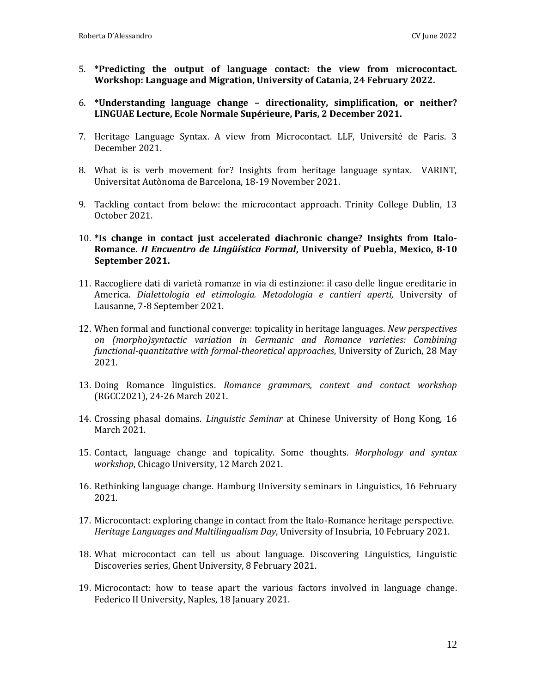- 5. **\*Predicting the output of language contact: the view from microcontact. Workshop: Language and Migration, University of Catania, 24 February 2022.**
- 6. **\*Understanding language change – directionality, simplification, or neither? LINGUAE Lecture, Ecole Normale Supérieure, Paris, 2 December 2021.**
- 7. Heritage Language Syntax. A view from Microcontact. LLF, Université de Paris. 3 December 2021.
- 8. What is is verb movement for? Insights from heritage language syntax. VARINT, Universitat Autònoma de Barcelona, 18-19 November 2021.
- 9. Tackling contact from below: the microcontact approach. Trinity College Dublin, 13 October 2021.
- 10. **\*Is change in contact just accelerated diachronic change? Insights from Italo-Romance.** *II Encuentro de Lingüística Formal***, University of Puebla, Mexico, 8-10 September 2021.**
- 11. Raccogliere dati di varietà romanze in via di estinzione: il caso delle lingue ereditarie in America. *Dialettologia ed etimologia. Metodologia e cantieri aperti,* University of Lausanne, 7-8 September 2021.
- 12. When formal and functional converge: topicality in heritage languages. *New perspectives on (morpho)syntactic variation in Germanic and Romance varieties: Combining functional-quantitative with formal-theoretical approaches*, University of Zurich, 28 May 2021.
- 13. Doing Romance linguistics. *Romance grammars, context and contact workshop* (RGCC2021), 24-26 March 2021.
- 14. Crossing phasal domains. *Linguistic Seminar* at Chinese University of Hong Kong, 16 March 2021.
- 15. Contact, language change and topicality. Some thoughts. *Morphology and syntax workshop*, Chicago University, 12 March 2021.
- 16. Rethinking language change. Hamburg University seminars in Linguistics, 16 February 2021.
- 17. Microcontact: exploring change in contact from the Italo-Romance heritage perspective. *Heritage Languages and Multilingualism Day*, University of Insubria, 10 February 2021.
- 18. What microcontact can tell us about language. Discovering Linguistics, Linguistic Discoveries series, Ghent University, 8 February 2021.
- 19. Microcontact: how to tease apart the various factors involved in language change. Federico II University, Naples, 18 January 2021.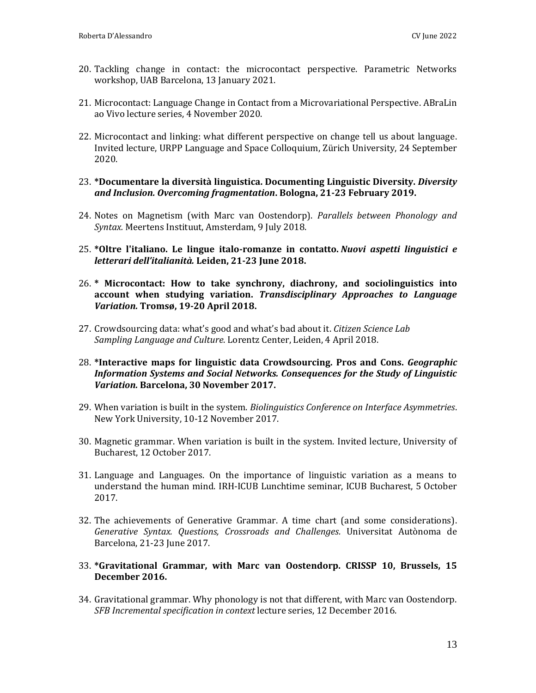- 20. Tackling change in contact: the microcontact perspective. Parametric Networks workshop, UAB Barcelona, 13 January 2021.
- 21. Microcontact: Language Change in Contact from a Microvariational Perspective. ABraLin ao Vivo lecture series, 4 November 2020.
- 22. Microcontact and linking: what different perspective on change tell us about language. Invited lecture, URPP Language and Space Colloquium, Zürich University, 24 September 2020.
- 23. **\*Documentare la diversità linguistica. Documenting Linguistic Diversity.** *Diversity and Inclusion. Overcoming fragmentation***. Bologna, 21-23 February 2019.**
- 24. Notes on Magnetism (with Marc van Oostendorp). *Parallels between Phonology and Syntax.* Meertens Instituut, Amsterdam, 9 July 2018.
- 25. **\*Oltre l'italiano. Le lingue italo-romanze in contatto.** *Nuovi aspetti linguistici e letterari dell'italianità.* **Leiden, 21-23 June 2018.**
- 26. **\* Microcontact: How to take synchrony, diachrony, and sociolinguistics into account when studying variation.** *Transdisciplinary Approaches to Language Variation.* **Tromsø, 19-20 April 2018.**
- 27. Crowdsourcing data: what's good and what's bad about it. *Citizen Science Lab Sampling Language and Culture*. Lorentz Center, Leiden, 4 April 2018.
- 28. **\*Interactive maps for linguistic data Crowdsourcing. Pros and Cons.** *Geographic Information Systems and Social Networks. Consequences for the Study of Linguistic Variation.* **Barcelona, 30 November 2017.**
- 29. When variation is built in the system. *Biolinguistics Conference on Interface Asymmetries*. New York University, 10-12 November 2017.
- 30. Magnetic grammar. When variation is built in the system. Invited lecture, University of Bucharest, 12 October 2017.
- 31. Language and Languages. On the importance of linguistic variation as a means to understand the human mind. IRH-ICUB Lunchtime seminar, ICUB Bucharest, 5 October 2017.
- 32. The achievements of Generative Grammar. A time chart (and some considerations). *Generative Syntax. Questions, Crossroads and Challenges.* Universitat Autònoma de Barcelona, 21-23 June 2017.
- 33. **\*Gravitational Grammar, with Marc van Oostendorp. CRISSP 10, Brussels, 15 December 2016.**
- 34. Gravitational grammar. Why phonology is not that different, with Marc van Oostendorp. *SFB Incremental specification in context* lecture series, 12 December 2016.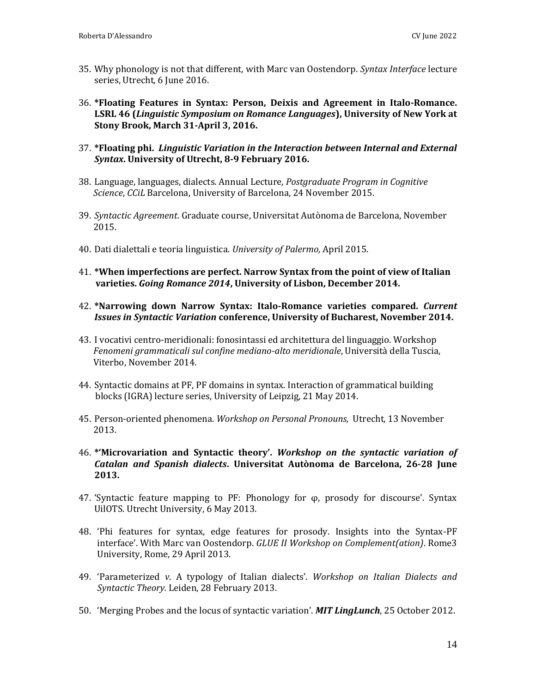- 35. Why phonology is not that different, with Marc van Oostendorp. *Syntax Interface* lecture series, Utrecht, 6 June 2016.
- 36. **\*Floating Features in Syntax: Person, Deixis and Agreement in Italo-Romance. LSRL 46 (***Linguistic Symposium on Romance Languages***), University of New York at Stony Brook, March 31-April 3, 2016.**
- 37. **\*Floating phi.** *Linguistic Variation in the Interaction between Internal and External Syntax***. University of Utrecht, 8-9 February 2016.**
- 38. Language, languages, dialects. Annual Lecture, *Postgraduate Program in Cognitive Science*, *CCiL* Barcelona, University of Barcelona, 24 November 2015.
- 39. *Syntactic Agreement*. Graduate course, Universitat Autònoma de Barcelona, November 2015.
- 40. Dati dialettali e teoria linguistica. *University of Palermo,* April 2015.
- 41. **\*When imperfections are perfect. Narrow Syntax from the point of view of Italian varieties.** *Going Romance 2014***, University of Lisbon, December 2014.**
- 42. **\*Narrowing down Narrow Syntax: Italo-Romance varieties compared.** *Current Issues in Syntactic Variation* **conference, University of Bucharest, November 2014.**
- 43. I vocativi centro-meridionali: fonosintassi ed architettura del linguaggio. Workshop *Fenomeni grammaticali sul confine mediano-alto meridionale*, Università della Tuscia, Viterbo, November 2014.
- 44. Syntactic domains at PF, PF domains in syntax. Interaction of grammatical building blocks (IGRA) lecture series, University of Leipzig, 21 May 2014.
- 45. Person-oriented phenomena. *Workshop on Personal Pronouns,* Utrecht, 13 November 2013.
- 46. **\*'Microvariation and Syntactic theory'.** *Workshop on the syntactic variation of Catalan and Spanish dialects***. Universitat Autònoma de Barcelona, 26-28 June 2013.**
- 47. 'Syntactic feature mapping to PF: Phonology for φ, prosody for discourse'. Syntax UilOTS. Utrecht University, 6 May 2013.
- 48. 'Phi features for syntax, edge features for prosody. Insights into the Syntax-PF interface'. With Marc van Oostendorp. *GLUE II Workshop on Complement(ation)*. Rome3 University, Rome, 29 April 2013.
- 49. 'Parameterized *v*. A typology of Italian dialects'. *Workshop on Italian Dialects and Syntactic Theory.* Leiden, 28 February 2013.
- 50. 'Merging Probes and the locus of syntactic variation'. *MIT LingLunch*, 25 October 2012.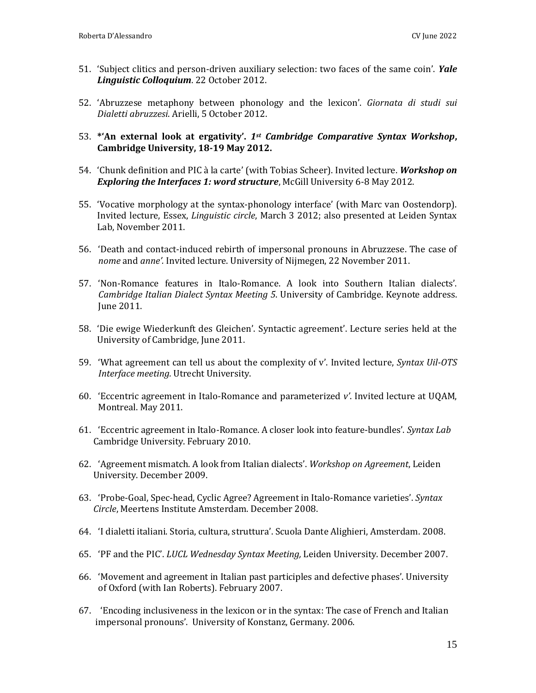- 51. 'Subject clitics and person-driven auxiliary selection: two faces of the same coin'. *Yale Linguistic Colloquium*. 22 October 2012.
- 52. 'Abruzzese metaphony between phonology and the lexicon'. *Giornata di studi sui Dialetti abruzzesi*. Arielli, 5 October 2012.
- 53. **\*'An external look at ergativity'.** *1st Cambridge Comparative Syntax Workshop***, Cambridge University, 18-19 May 2012.**
- 54. 'Chunk definition and PIC à la carte' (with Tobias Scheer). Invited lecture. *Workshop on Exploring the Interfaces 1: word structure*, McGill University 6-8 May 2012.
- 55. 'Vocative morphology at the syntax-phonology interface' (with Marc van Oostendorp). Invited lecture, Essex, *Linguistic circle*, March 3 2012; also presented at Leiden Syntax Lab, November 2011.
- 56. 'Death and contact-induced rebirth of impersonal pronouns in Abruzzese. The case of *nome* and *anne'.* Invited lecture. University of Nijmegen, 22 November 2011.
- 57. 'Non-Romance features in Italo-Romance. A look into Southern Italian dialects'. *Cambridge Italian Dialect Syntax Meeting 5*. University of Cambridge. Keynote address. June 2011.
- 58. 'Die ewige Wiederkunft des Gleichen'. Syntactic agreement'. Lecture series held at the University of Cambridge, June 2011.
- 59. 'What agreement can tell us about the complexity of v'. Invited lecture, *Syntax Uil-OTS Interface meeting.* Utrecht University.
- 60. 'Eccentric agreement in Italo-Romance and parameterized *v'*. Invited lecture at UQAM, Montreal. May 2011.
- 61. 'Eccentric agreement in Italo-Romance. A closer look into feature-bundles'. *Syntax Lab* Cambridge University. February 2010.
- 62. 'Agreement mismatch. A look from Italian dialects'. *Workshop on Agreement*, Leiden University. December 2009.
- 63. 'Probe-Goal, Spec-head, Cyclic Agree? Agreement in Italo-Romance varieties'. *Syntax Circle*, Meertens Institute Amsterdam. December 2008.
- 64. 'I dialetti italiani. Storia, cultura, struttura'. Scuola Dante Alighieri, Amsterdam. 2008.
- 65. 'PF and the PIC'. *LUCL Wednesday Syntax Meeting,* Leiden University. December 2007.
- 66. 'Movement and agreement in Italian past participles and defective phases'. University of Oxford (with Ian Roberts). February 2007.
- 67. 'Encoding inclusiveness in the lexicon or in the syntax: The case of French and Italian impersonal pronouns'. University of Konstanz, Germany. 2006.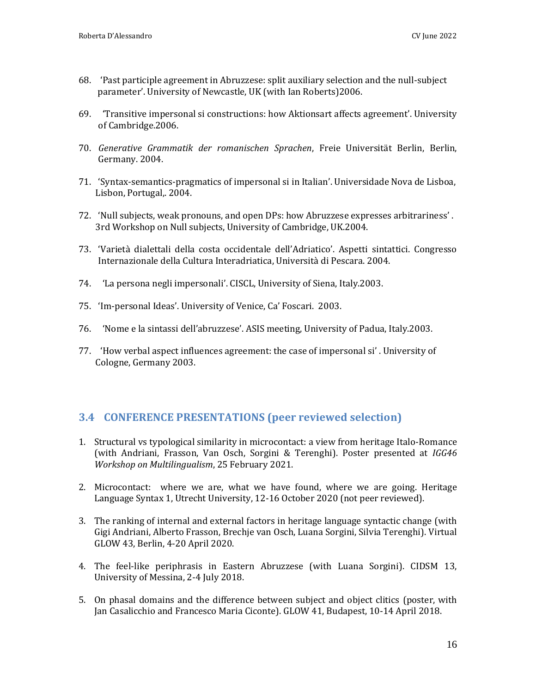- 68. 'Past participle agreement in Abruzzese: split auxiliary selection and the null-subject parameter'. University of Newcastle, UK (with Ian Roberts)2006.
- 69. 'Transitive impersonal si constructions: how Aktionsart affects agreement'. University of Cambridge.2006.
- 70. *Generative Grammatik der romanischen Sprachen*, Freie Universität Berlin, Berlin, Germany. 2004.
- 71. 'Syntax-semantics-pragmatics of impersonal si in Italian'. Universidade Nova de Lisboa, Lisbon, Portugal,. 2004.
- 72. 'Null subjects, weak pronouns, and open DPs: how Abruzzese expresses arbitrariness' . 3rd Workshop on Null subjects, University of Cambridge, UK.2004.
- 73. 'Varietà dialettali della costa occidentale dell'Adriatico'. Aspetti sintattici. Congresso Internazionale della Cultura Interadriatica, Università di Pescara. 2004.
- 74. 'La persona negli impersonali'. CISCL, University of Siena, Italy.2003.
- 75. 'Im-personal Ideas'. University of Venice, Ca' Foscari. 2003.
- 76. 'Nome e la sintassi dell'abruzzese'. ASIS meeting, University of Padua, Italy.2003.
- 77. 'How verbal aspect influences agreement: the case of impersonal si' . University of Cologne, Germany 2003.

# <span id="page-15-0"></span>**3.4 CONFERENCE PRESENTATIONS (peer reviewed selection)**

- 1. Structural vs typological similarity in microcontact: a view from heritage Italo-Romance (with Andriani, Frasson, Van Osch, Sorgini & Terenghi). Poster presented at *IGG46 Workshop on Multilingualism*, 25 February 2021.
- 2. Microcontact: where we are, what we have found, where we are going. Heritage Language Syntax 1, Utrecht University, 12-16 October 2020 (not peer reviewed).
- 3. The ranking of internal and external factors in heritage language syntactic change (with Gigi Andriani, Alberto Frasson, Brechje van Osch, Luana Sorgini, Silvia Terenghi). Virtual GLOW 43, Berlin, 4-20 April 2020.
- 4. The feel-like periphrasis in Eastern Abruzzese (with Luana Sorgini). CIDSM 13, University of Messina, 2-4 July 2018.
- 5. On phasal domains and the difference between subject and object clitics (poster, with Jan Casalicchio and Francesco Maria Ciconte). GLOW 41, Budapest, 10-14 April 2018.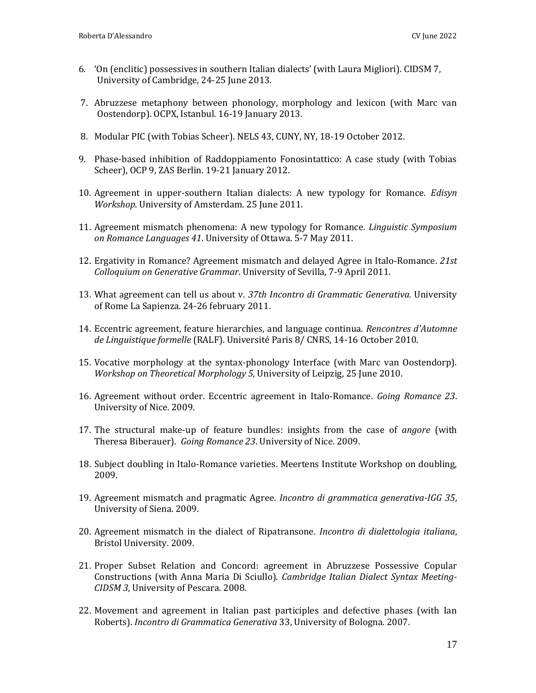- 6. 'On (enclitic) possessives in southern Italian dialects' (with Laura Migliori). CIDSM 7, University of Cambridge, 24-25 June 2013.
- 7. Abruzzese metaphony between phonology, morphology and lexicon (with Marc van Oostendorp). OCPX, Istanbul. 16-19 January 2013.
- 8. Modular PIC (with Tobias Scheer). NELS 43, CUNY, NY, 18-19 October 2012.
- 9. Phase-based inhibition of Raddoppiamento Fonosintattico: A case study (with Tobias Scheer), OCP 9, ZAS Berlin. 19-21 January 2012.
- 10. Agreement in upper-southern Italian dialects: A new typology for Romance. *Edisyn Workshop*. University of Amsterdam. 25 June 2011.
- 11. Agreement mismatch phenomena: A new typology for Romance. *Linguistic Symposium on Romance Languages 41*. University of Ottawa. 5-7 May 2011.
- 12. Ergativity in Romance? Agreement mismatch and delayed Agree in Italo-Romance. *21st Colloquium on Generative Grammar*. University of Sevilla, 7-9 April 2011.
- 13. What agreement can tell us about v. *37th Incontro di Grammatic Generativa.* University of Rome La Sapienza. 24-26 february 2011.
- 14. Eccentric agreement, feature hierarchies, and language continua. *Rencontres d'Automne de Linguistique formelle* (RALF). Université Paris 8/ CNRS, 14-16 October 2010.
- 15. Vocative morphology at the syntax-phonology Interface (with Marc van Oostendorp). *Workshop on Theoretical Morphology 5,* University of Leipzig, 25 June 2010.
- 16. Agreement without order. Eccentric agreement in Italo-Romance. *Going Romance 23*. University of Nice. 2009.
- 17. The structural make-up of feature bundles: insights from the case of *angore* (with Theresa Biberauer). *Going Romance 23*. University of Nice. 2009.
- 18. Subject doubling in Italo-Romance varieties. Meertens Institute Workshop on doubling, 2009.
- 19. Agreement mismatch and pragmatic Agree. *Incontro di grammatica generativa-IGG 35*, University of Siena. 2009.
- 20. Agreement mismatch in the dialect of Ripatransone. *Incontro di dialettologia italiana*, Bristol University. 2009.
- 21. Proper Subset Relation and Concord: agreement in Abruzzese Possessive Copular Constructions (with Anna Maria Di Sciullo). *Cambridge Italian Dialect Syntax Meeting-CIDSM 3*, University of Pescara. 2008.
- 22. Movement and agreement in Italian past participles and defective phases (with Ian Roberts). *Incontro di Grammatica Generativa* 33, University of Bologna. 2007.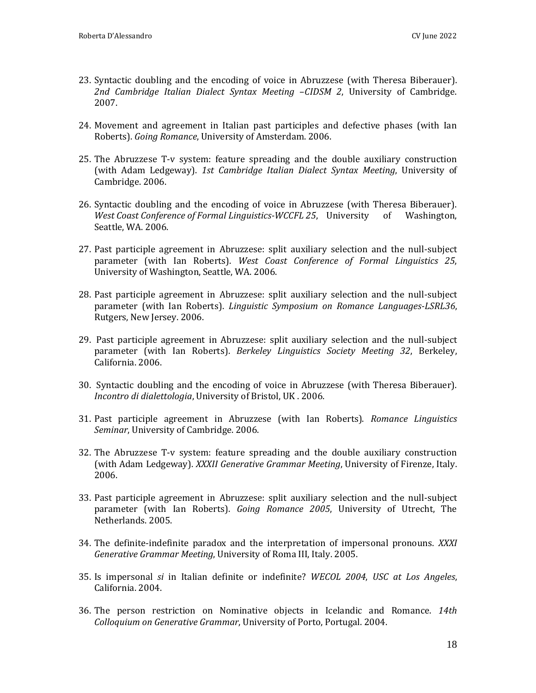- 23. Syntactic doubling and the encoding of voice in Abruzzese (with Theresa Biberauer). *2nd Cambridge Italian Dialect Syntax Meeting* –*CIDSM 2*, University of Cambridge. 2007.
- 24. Movement and agreement in Italian past participles and defective phases (with Ian Roberts). *Going Romance*, University of Amsterdam. 2006.
- 25. The Abruzzese T-v system: feature spreading and the double auxiliary construction (with Adam Ledgeway). *1st Cambridge Italian Dialect Syntax Meeting*, University of Cambridge. 2006.
- 26. Syntactic doubling and the encoding of voice in Abruzzese (with Theresa Biberauer). *West Coast Conference of Formal Linguistics-WCCFL 25*, University of Washington, Seattle, WA. 2006.
- 27. Past participle agreement in Abruzzese: split auxiliary selection and the null-subject parameter (with Ian Roberts). *West Coast Conference of Formal Linguistics 25*, University of Washington, Seattle, WA. 2006.
- 28. Past participle agreement in Abruzzese: split auxiliary selection and the null-subject parameter (with Ian Roberts). *Linguistic Symposium on Romance Languages-LSRL36*, Rutgers, New Jersey. 2006.
- 29. Past participle agreement in Abruzzese: split auxiliary selection and the null-subject parameter (with Ian Roberts). *Berkeley Linguistics Society Meeting 32*, Berkeley, California. 2006.
- 30. Syntactic doubling and the encoding of voice in Abruzzese (with Theresa Biberauer). *Incontro di dialettologia*, University of Bristol, UK . 2006.
- 31. Past participle agreement in Abruzzese (with Ian Roberts). *Romance Linguistics Seminar*, University of Cambridge. 2006.
- 32. The Abruzzese T-v system: feature spreading and the double auxiliary construction (with Adam Ledgeway). *XXXII Generative Grammar Meeting*, University of Firenze, Italy. 2006.
- 33. Past participle agreement in Abruzzese: split auxiliary selection and the null-subject parameter (with Ian Roberts). *Going Romance 2005*, University of Utrecht, The Netherlands. 2005.
- 34. The definite-indefinite paradox and the interpretation of impersonal pronouns. *XXXI Generative Grammar Meeting*, University of Roma III, Italy. 2005.
- 35. Is impersonal *si* in Italian definite or indefinite? *WECOL 2004*, *USC at Los Angeles*, California. 2004.
- 36. The person restriction on Nominative objects in Icelandic and Romance. *14th Colloquium on Generative Grammar*, University of Porto, Portugal. 2004.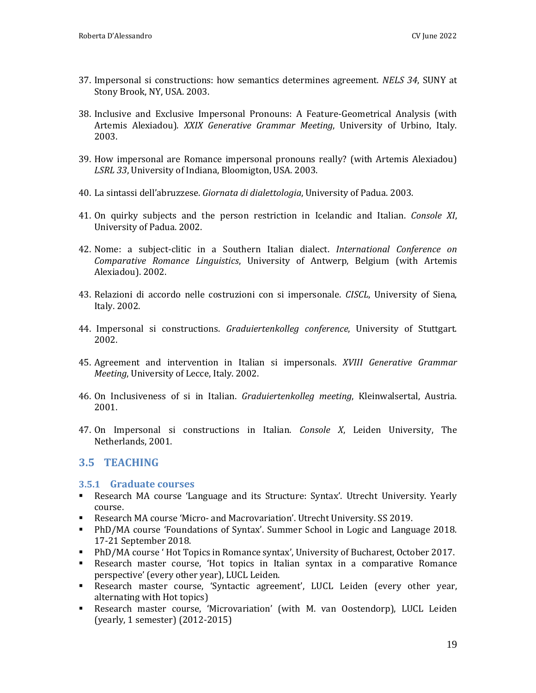- 37. Impersonal si constructions: how semantics determines agreement. *NELS 34*, SUNY at Stony Brook, NY, USA. 2003.
- 38. Inclusive and Exclusive Impersonal Pronouns: A Feature-Geometrical Analysis (with Artemis Alexiadou). *XXIX Generative Grammar Meeting*, University of Urbino, Italy. 2003.
- 39. How impersonal are Romance impersonal pronouns really? (with Artemis Alexiadou) *LSRL 33*, University of Indiana, Bloomigton, USA. 2003.
- 40. La sintassi dell'abruzzese. *Giornata di dialettologia*, University of Padua. 2003.
- 41. On quirky subjects and the person restriction in Icelandic and Italian. *Console XI*, University of Padua. 2002.
- 42. Nome: a subject-clitic in a Southern Italian dialect. *International Conference on Comparative Romance Linguistics*, University of Antwerp, Belgium (with Artemis Alexiadou). 2002.
- 43. Relazioni di accordo nelle costruzioni con si impersonale. *CISCL*, University of Siena, Italy. 2002.
- 44. Impersonal si constructions. *Graduiertenkolleg conference*, University of Stuttgart. 2002.
- 45. Agreement and intervention in Italian si impersonals. *XVIII Generative Grammar Meeting*, University of Lecce, Italy. 2002.
- 46. On Inclusiveness of si in Italian. *Graduiertenkolleg meeting*, Kleinwalsertal, Austria. 2001.
- 47. On Impersonal si constructions in Italian. *Console X*, Leiden University, The Netherlands, 2001.

# <span id="page-18-0"></span>**3.5 TEACHING**

#### <span id="page-18-1"></span>**3.5.1 Graduate courses**

- Research MA course 'Language and its Structure: Syntax'. Utrecht University. Yearly course.
- Research MA course 'Micro- and Macrovariation'. Utrecht University. SS 2019.
- PhD/MA course 'Foundations of Syntax'. Summer School in Logic and Language 2018. 17-21 September 2018.
- PhD/MA course ' Hot Topics in Romance syntax', University of Bucharest, October 2017.
- Research master course, 'Hot topics in Italian syntax in a comparative Romance perspective' (every other year), LUCL Leiden.
- Research master course, 'Syntactic agreement', LUCL Leiden (every other year, alternating with Hot topics)
- Research master course, 'Microvariation' (with M. van Oostendorp), LUCL Leiden (yearly, 1 semester) (2012-2015)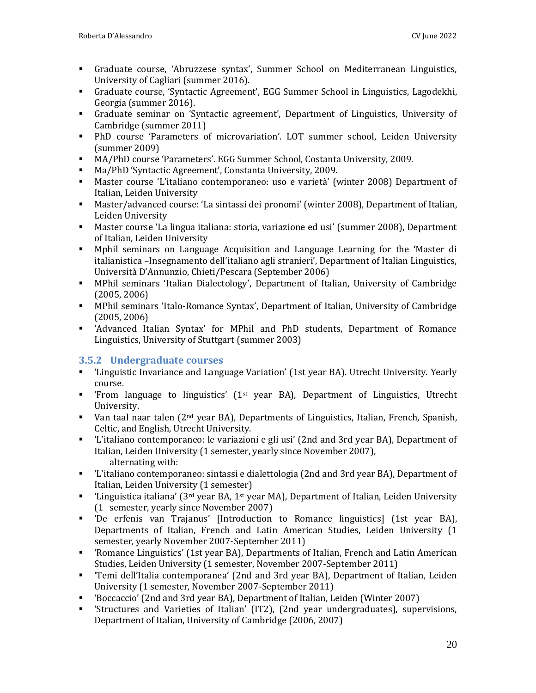- Graduate course, 'Abruzzese syntax', Summer School on Mediterranean Linguistics, University of Cagliari (summer 2016).
- Graduate course, 'Syntactic Agreement', EGG Summer School in Linguistics, Lagodekhi, Georgia (summer 2016).
- Graduate seminar on 'Syntactic agreement', Department of Linguistics, University of Cambridge (summer 2011)
- PhD course 'Parameters of microvariation'. LOT summer school, Leiden University (summer 2009)
- MA/PhD course 'Parameters'. EGG Summer School, Costanta University, 2009.
- Ma/PhD 'Syntactic Agreement', Constanta University, 2009.
- Master course 'L'italiano contemporaneo: uso e varietà' (winter 2008) Department of Italian, Leiden University
- Master/advanced course: 'La sintassi dei pronomi' (winter 2008), Department of Italian, Leiden University
- Master course 'La lingua italiana: storia, variazione ed usi' (summer 2008), Department of Italian, Leiden University
- Mphil seminars on Language Acquisition and Language Learning for the 'Master di italianistica –Insegnamento dell'italiano agli stranieri', Department of Italian Linguistics, Università D'Annunzio, Chieti/Pescara (September 2006)
- MPhil seminars 'Italian Dialectology', Department of Italian, University of Cambridge (2005, 2006)
- MPhil seminars 'Italo-Romance Syntax', Department of Italian, University of Cambridge (2005, 2006)
- 'Advanced Italian Syntax' for MPhil and PhD students, Department of Romance Linguistics, University of Stuttgart (summer 2003)

# <span id="page-19-0"></span>**3.5.2 Undergraduate courses**

- 'Linguistic Invariance and Language Variation' (1st year BA). Utrecht University. Yearly course.
- **•** 'From language to linguistics' (1<sup>st</sup> year BA), Department of Linguistics, Utrecht University.
- Van taal naar talen (2<sup>nd</sup> year BA), Departments of Linguistics, Italian, French, Spanish, Celtic, and English, Utrecht University.
- 'L'italiano contemporaneo: le variazioni e gli usi' (2nd and 3rd year BA), Department of Italian, Leiden University (1 semester, yearly since November 2007), alternating with:
- 'L'italiano contemporaneo: sintassi e dialettologia (2nd and 3rd year BA), Department of Italian, Leiden University (1 semester)
- **•** 'Linguistica italiana' ( $3^{rd}$  year BA,  $1^{st}$  year MA), Department of Italian, Leiden University (1 semester, yearly since November 2007)
- 'De erfenis van Trajanus' [Introduction to Romance linguistics] (1st year BA), Departments of Italian, French and Latin American Studies, Leiden University (1 semester, yearly November 2007-September 2011)
- 'Romance Linguistics' (1st year BA), Departments of Italian, French and Latin American Studies, Leiden University (1 semester, November 2007-September 2011)
- 'Temi dell'Italia contemporanea' (2nd and 3rd year BA), Department of Italian, Leiden University (1 semester, November 2007-September 2011)
- 'Boccaccio' (2nd and 3rd year BA), Department of Italian, Leiden (Winter 2007)
- 'Structures and Varieties of Italian' (IT2), (2nd year undergraduates), supervisions, Department of Italian, University of Cambridge (2006, 2007)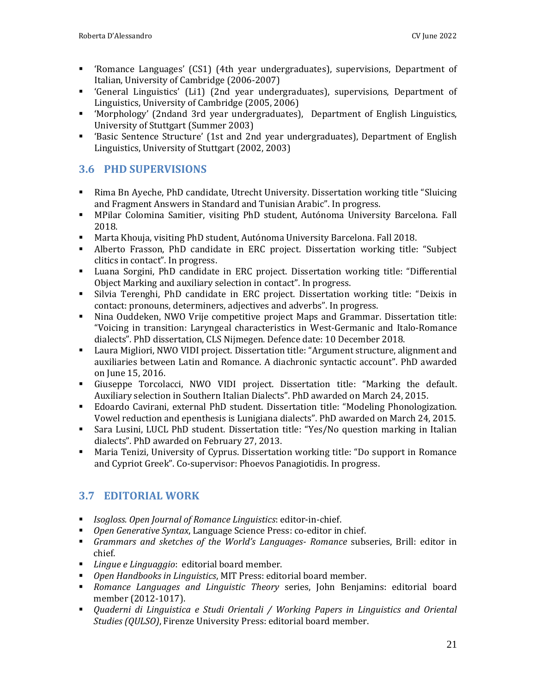- 'Romance Languages' (CS1) (4th year undergraduates), supervisions, Department of Italian, University of Cambridge (2006-2007)
- 'General Linguistics' (Li1) (2nd year undergraduates), supervisions, Department of Linguistics, University of Cambridge (2005, 2006)
- 'Morphology' (2ndand 3rd year undergraduates), Department of English Linguistics, University of Stuttgart (Summer 2003)
- 'Basic Sentence Structure' (1st and 2nd year undergraduates), Department of English Linguistics, University of Stuttgart (2002, 2003)

# <span id="page-20-0"></span>**3.6 PHD SUPERVISIONS**

- Rima Bn Ayeche, PhD candidate, Utrecht University. Dissertation working title "Sluicing and Fragment Answers in Standard and Tunisian Arabic". In progress.
- MPilar Colomina Samitier, visiting PhD student, Autónoma University Barcelona. Fall 2018.
- Marta Khouja, visiting PhD student, Autónoma University Barcelona. Fall 2018.
- Alberto Frasson, PhD candidate in ERC project. Dissertation working title: "Subject clitics in contact". In progress.
- Luana Sorgini, PhD candidate in ERC project. Dissertation working title: "Differential Object Marking and auxiliary selection in contact". In progress.
- Silvia Terenghi, PhD candidate in ERC project. Dissertation working title: "Deixis in contact: pronouns, determiners, adjectives and adverbs". In progress.
- Nina Ouddeken, NWO Vrije competitive project Maps and Grammar. Dissertation title: "Voicing in transition: Laryngeal characteristics in West-Germanic and Italo-Romance dialects". PhD dissertation, CLS Nijmegen. Defence date: 10 December 2018.
- Laura Migliori, NWO VIDI project. Dissertation title: "Argument structure, alignment and auxiliaries between Latin and Romance. A diachronic syntactic account". PhD awarded on June 15, 2016.
- Giuseppe Torcolacci, NWO VIDI project. Dissertation title: "Marking the default. Auxiliary selection in Southern Italian Dialects". PhD awarded on March 24, 2015.
- Edoardo Cavirani, external PhD student. Dissertation title: "Modeling Phonologization. Vowel reduction and epenthesis is Lunigiana dialects". PhD awarded on March 24, 2015.
- Sara Lusini, LUCL PhD student. Dissertation title: "Yes/No question marking in Italian dialects". PhD awarded on February 27, 2013.
- Maria Tenizi, University of Cyprus. Dissertation working title: "Do support in Romance and Cypriot Greek". Co-supervisor: Phoevos Panagiotidis. In progress.

# <span id="page-20-1"></span>**3.7 EDITORIAL WORK**

- *Isogloss. Open Journal of Romance Linguistics*: editor-in-chief.
- *Open Generative Syntax*, Language Science Press: co-editor in chief.
- *Grammars and sketches of the World's Languages- Romance* subseries, Brill: editor in chief.
- *Lingue e Linguaggio*: editorial board member.
- *Open Handbooks in Linguistics*, MIT Press: editorial board member.
- *Romance Languages and Linguistic Theory* series, John Benjamins: editorial board member (2012-1017).
- *Quaderni di Linguistica e Studi Orientali / Working Papers in Linguistics and Oriental Studies (QULSO)*, Firenze University Press: editorial board member.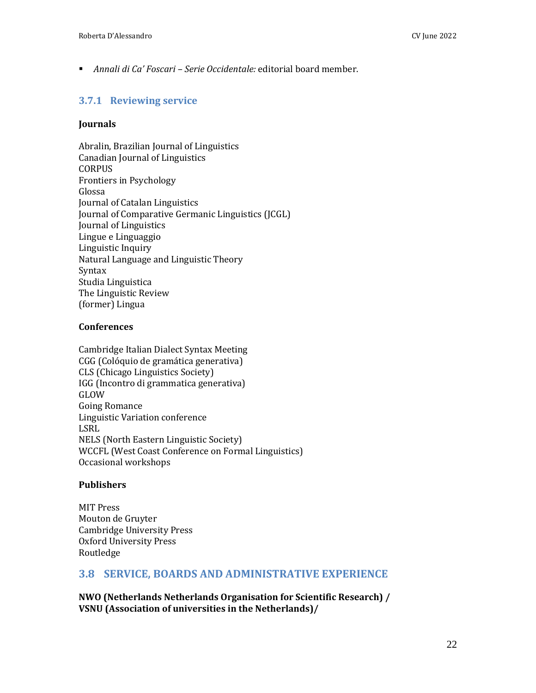■ *Annali di Ca' Foscari – Serie Occidentale:* editorial board member.

#### <span id="page-21-0"></span>**3.7.1 Reviewing service**

#### **Journals**

Abralin, Brazilian Journal of Linguistics Canadian Journal of Linguistics **CORPUS** Frontiers in Psychology Glossa Journal of Catalan Linguistics Journal of Comparative Germanic Linguistics (JCGL) Journal of Linguistics Lingue e Linguaggio Linguistic Inquiry Natural Language and Linguistic Theory Syntax Studia Linguistica The Linguistic Review (former) Lingua

#### **Conferences**

Cambridge Italian Dialect Syntax Meeting CGG (Colóquio de gramática generativa) CLS (Chicago Linguistics Society) IGG (Incontro di grammatica generativa) GLOW Going Romance Linguistic Variation conference LSRL NELS (North Eastern Linguistic Society) WCCFL (West Coast Conference on Formal Linguistics) Occasional workshops

#### **Publishers**

MIT Press Mouton de Gruyter Cambridge University Press Oxford University Press Routledge

#### <span id="page-21-1"></span>**3.8 SERVICE, BOARDS AND ADMINISTRATIVE EXPERIENCE**

**NWO (Netherlands Netherlands Organisation for Scientific Research) / VSNU (Association of universities in the Netherlands)/**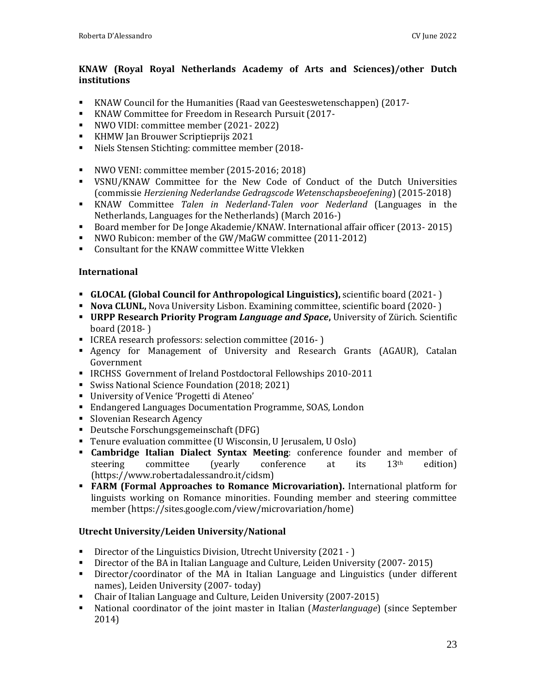#### **KNAW (Royal Royal Netherlands Academy of Arts and Sciences)/other Dutch institutions**

- KNAW Council for the Humanities (Raad van Geesteswetenschappen) (2017-
- KNAW Committee for Freedom in Research Pursuit (2017-
- NWO VIDI: committee member (2021- 2022)
- KHMW Jan Brouwer Scriptieprijs 2021
- Niels Stensen Stichting: committee member (2018-
- NWO VENI: committee member (2015-2016; 2018)
- VSNU/KNAW Committee for the New Code of Conduct of the Dutch Universities (commissie *Herziening Nederlandse Gedragscode Wetenschapsbeoefening*) (2015-2018)
- KNAW Committee *Talen in Nederland-Talen voor Nederland* (Languages in the Netherlands, Languages for the Netherlands) (March 2016-)
- Board member for De Jonge Akademie/KNAW. International affair officer (2013-2015)
- NWO Rubicon: member of the GW/MaGW committee (2011-2012)
- Consultant for the KNAW committee Witte Vlekken

#### **International**

- **GLOCAL (Global Council for Anthropological Linguistics),** scientific board (2021- )
- **Nova CLUNL,** Nova University Lisbon. Examining committee, scientific board (2020- )
- **URPP Research Priority Program** *Language and Space***,** University of Zürich. Scientific board (2018- )
- ICREA research professors: selection committee (2016-)
- Agency for Management of University and Research Grants (AGAUR), Catalan Government
- IRCHSS Government of Ireland Postdoctoral Fellowships 2010-2011
- Swiss National Science Foundation (2018; 2021)
- University of Venice 'Progetti di Ateneo'
- Endangered Languages Documentation Programme, SOAS, London
- **Slovenian Research Agency**
- Deutsche Forschungsgemeinschaft (DFG)
- Tenure evaluation committee (U Wisconsin, U Jerusalem, U Oslo)
- **Cambridge Italian Dialect Syntax Meeting**: conference founder and member of steering committee (yearly conference at its 13<sup>th</sup> edition) (https://www.robertadalessandro.it/cidsm)
- **FARM (Formal Approaches to Romance Microvariation).** International platform for linguists working on Romance minorities. Founding member and steering committee member (https://sites.google.com/view/microvariation/home)

#### **Utrecht University/Leiden University/National**

- Director of the Linguistics Division, Utrecht University (2021 )
- Director of the BA in Italian Language and Culture, Leiden University (2007- 2015)
- Director/coordinator of the MA in Italian Language and Linguistics (under different names), Leiden University (2007- today)
- Chair of Italian Language and Culture, Leiden University (2007-2015)
- National coordinator of the joint master in Italian (*Masterlanguage*) (since September 2014)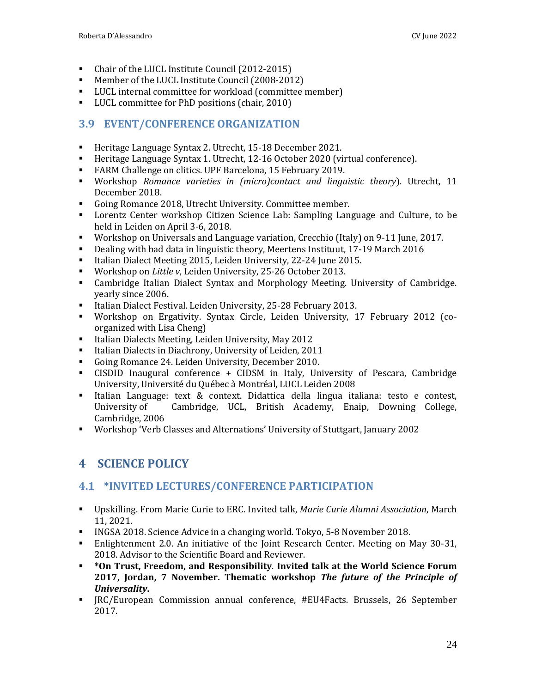- Chair of the LUCL Institute Council (2012-2015)
- Member of the LUCL Institute Council (2008-2012)
- LUCL internal committee for workload (committee member)
- LUCL committee for PhD positions (chair, 2010)

# <span id="page-23-0"></span>**3.9 EVENT/CONFERENCE ORGANIZATION**

- Heritage Language Syntax 2. Utrecht, 15-18 December 2021.
- Heritage Language Syntax 1. Utrecht, 12-16 October 2020 (virtual conference).
- FARM Challenge on clitics. UPF Barcelona, 15 February 2019.
- Workshop *Romance varieties in (micro)contact and linguistic theory*). Utrecht, 11 December 2018.
- Going Romance 2018, Utrecht University. Committee member.
- Lorentz Center workshop Citizen Science Lab: Sampling Language and Culture, to be held in Leiden on April 3-6, 2018.
- Workshop on Universals and Language variation, Crecchio (Italy) on 9-11 June, 2017.
- Dealing with bad data in linguistic theory, Meertens Instituut, 17-19 March 2016
- Italian Dialect Meeting 2015, Leiden University, 22-24 June 2015.
- Workshop on *Little v*, Leiden University, 25-26 October 2013.
- Cambridge Italian Dialect Syntax and Morphology Meeting. University of Cambridge. yearly since 2006.
- Italian Dialect Festival. Leiden University, 25-28 February 2013.
- Workshop on Ergativity. Syntax Circle, Leiden University, 17 February 2012 (coorganized with Lisa Cheng)
- Italian Dialects Meeting, Leiden University, May 2012
- Italian Dialects in Diachrony, University of Leiden, 2011
- Going Romance 24. Leiden University, December 2010.
- CISDID Inaugural conference + CIDSM in Italy, University of Pescara, Cambridge University, Université du Québec à Montréal, LUCL Leiden 2008
- Italian Language: text & context. Didattica della lingua italiana: testo e contest, University of Cambridge, UCL, British Academy, Enaip, Downing College, Cambridge, 2006
- <span id="page-23-1"></span>▪ Workshop 'Verb Classes and Alternations' University of Stuttgart, January 2002

# **4 SCIENCE POLICY**

# <span id="page-23-2"></span>**4.1 \*INVITED LECTURES/CONFERENCE PARTICIPATION**

- Upskilling. From Marie Curie to ERC. Invited talk, *Marie Curie Alumni Association*, March 11, 2021.
- INGSA 2018. Science Advice in a changing world. Tokyo, 5-8 November 2018.
- Enlightenment 2.0. An initiative of the Joint Research Center. Meeting on May 30-31, 2018. Advisor to the Scientific Board and Reviewer.
- **\*On Trust, Freedom, and Responsibility**. **Invited talk at the World Science Forum 2017, Jordan, 7 November. Thematic workshop** *The future of the Principle of Universality***.**
- JRC/European Commission annual conference, #EU4Facts. Brussels, 26 September 2017.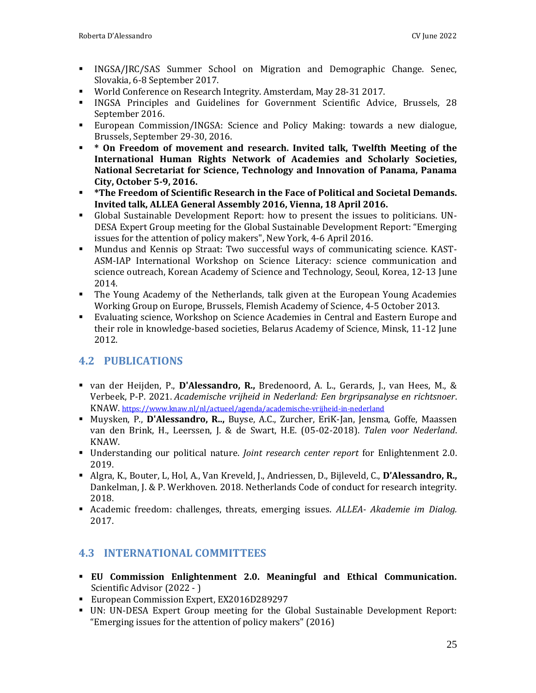- INGSA/JRC/SAS Summer School on Migration and Demographic Change. Senec, Slovakia, 6-8 September 2017.
- World Conference on Research Integrity. Amsterdam, May 28-31 2017.
- INGSA Principles and Guidelines for Government Scientific Advice, Brussels, 28 September 2016.
- European Commission/INGSA: Science and Policy Making: towards a new dialogue, Brussels, September 29-30, 2016.
- **\* On Freedom of movement and research. Invited talk, Twelfth Meeting of the International Human Rights Network of Academies and Scholarly Societies, National Secretariat for Science, Technology and Innovation of Panama, Panama City, October 5-9, 2016.**
- **\*The Freedom of Scientific Research in the Face of Political and Societal Demands. Invited talk, ALLEA General Assembly 2016, Vienna, 18 April 2016.**
- Global Sustainable Development Report: how to present the issues to politicians. UN-DESA Expert Group meeting for the Global Sustainable Development Report: "Emerging issues for the attention of policy makers", New York, 4-6 April 2016.
- Mundus and Kennis op Straat: Two successful ways of communicating science. KAST-ASM-IAP International Workshop on Science Literacy: science communication and science outreach, Korean Academy of Science and Technology, Seoul, Korea, 12-13 June 2014.
- The Young Academy of the Netherlands, talk given at the European Young Academies Working Group on Europe, Brussels, Flemish Academy of Science, 4-5 October 2013.
- Evaluating science, Workshop on Science Academies in Central and Eastern Europe and their role in knowledge-based societies, Belarus Academy of Science, Minsk, 11-12 June 2012.

# <span id="page-24-0"></span>**4.2 PUBLICATIONS**

- van der Heijden, P., **D'Alessandro, R.,** Bredenoord, A. L., Gerards, J., van Hees, M., & Verbeek, P-P. 2021. *Academische vrijheid in Nederland: Een brgripsanalyse en richtsnoer*. KNAW. <https://www.knaw.nl/nl/actueel/agenda/academische-vrijheid-in-nederland>
- Muysken, P., **D'Alessandro, R..,** Buyse, A.C., Zurcher, EriK-Jan, Jensma, Goffe, Maassen van den Brink, H., Leerssen, J. & de Swart, H.E. (05-02-2018). *Talen voor Nederland*. KNAW.
- Understanding our political nature. *Joint research center report* for Enlightenment 2.0. 2019.
- Algra, K., Bouter, L, Hol, A., Van Kreveld, J., Andriessen, D., Bijleveld, C., **D'Alessandro, R.,** Dankelman, J. & P. Werkhoven. 2018. Netherlands Code of conduct for research integrity. 2018.
- Academic freedom: challenges, threats, emerging issues. *ALLEA- Akademie im Dialog.* 2017.

# <span id="page-24-1"></span>**4.3 INTERNATIONAL COMMITTEES**

- **EU Commission Enlightenment 2.0. Meaningful and Ethical Communication.** Scientific Advisor (2022 - )
- European Commission Expert, EX2016D289297
- UN: UN-DESA Expert Group meeting for the Global Sustainable Development Report: "Emerging issues for the attention of policy makers" (2016)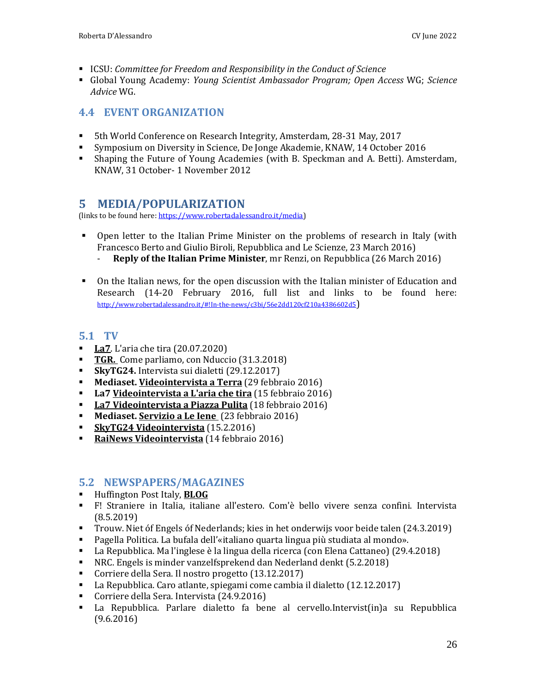- ICSU: *Committee for Freedom and Responsibility in the Conduct of Science*
- Global Young Academy: *Young Scientist Ambassador Program; Open Access* WG; *Science Advice* WG.

# <span id="page-25-0"></span>**4.4 EVENT ORGANIZATION**

- 5th World Conference on Research Integrity, Amsterdam, 28-31 May, 2017
- Symposium on Diversity in Science, De Jonge Akademie, KNAW, 14 October 2016
- <span id="page-25-1"></span>▪ Shaping the Future of Young Academies (with B. Speckman and A. Betti). Amsterdam, KNAW, 31 October- 1 November 2012

# **5 MEDIA/POPULARIZATION**

(links to be found here: https://www.robertadalessandro.it/media)

- Open letter to the Italian Prime Minister on the problems of research in Italy (with Francesco Berto and Giulio Biroli, Repubblica and Le Scienze, 23 March 2016) - **Reply of the Italian Prime Minister**, mr Renzi, on Repubblica (26 March 2016)
- On the Italian news, for the open discussion with the Italian minister of Education and Research (14-20 February 2016, full list and links to be found here: http://www.robertadalessandro.it/#!In-the-news/c3bi/56e2dd120cf210a4386602d5)

#### <span id="page-25-2"></span>**5.1 TV**

- **La7.** L'aria che tira (20.07.2020)
- **TGR.** Come parliamo, con Nduccio (31.3.2018)
- **SkyTG24.** Intervista sui dialetti (29.12.2017)
- **Mediaset. Videointervista a Terra** (29 febbraio 2016)
- **La7 Videointervista a L'aria che tira** (15 febbraio 2016)
- **La7 Videointervista a Piazza Pulita** (18 febbraio 2016)
- Mediaset. **Servizio a Le Iene** (23 febbraio 2016)
- **SkyTG24 Videointervista** (15.2.2016)
- **RaiNews Videointervista** (14 febbraio 2016)

# <span id="page-25-3"></span>**5.2 NEWSPAPERS/MAGAZINES**

- Huffington Post Italy, **BLOG**
- F! Straniere in Italia, italiane all'estero. Com'è bello vivere senza confini. Intervista (8.5.2019)
- Trouw. Niet óf Engels óf Nederlands; kies in het onderwijs voor beide talen (24.3.2019)
- Pagella Politica. La bufala dell'«italiano quarta lingua più studiata al mondo».
- La Repubblica. Ma l'inglese è la lingua della ricerca (con Elena Cattaneo) (29.4.2018)
- NRC. Engels is minder vanzelfsprekend dan Nederland denkt (5.2.2018)
- Corriere della Sera. Il nostro progetto (13.12.2017)
- La Repubblica. Caro atlante, spiegami come cambia il dialetto (12.12.2017)
- Corriere della Sera. Intervista (24.9.2016)
- La Repubblica. Parlare dialetto fa bene al cervello.Intervist(in)a su Repubblica (9.6.2016)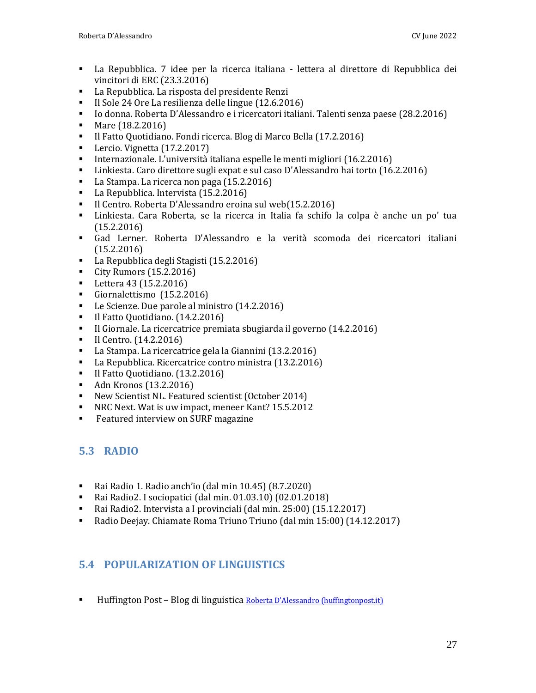- La Repubblica. 7 idee per la ricerca italiana lettera al direttore di Repubblica dei vincitori di ERC (23.3.2016)
- La Repubblica. La risposta del presidente Renzi
- Il Sole 24 Ore La resilienza delle lingue (12.6.2016)
- Io donna. Roberta D'Alessandro e i ricercatori italiani. Talenti senza paese (28.2.2016)
- Mare (18.2.2016)
- Il Fatto Quotidiano. Fondi ricerca. Blog di Marco Bella (17.2.2016)
- Lercio. Vignetta (17.2.2017)
- Internazionale. L'università italiana espelle le menti migliori (16.2.2016)
- Linkiesta. Caro direttore sugli expat e sul caso D'Alessandro hai torto (16.2.2016)
- La Stampa. La ricerca non paga (15.2.2016)
- La Repubblica. Intervista (15.2.2016)
- Il Centro. Roberta D'Alessandro eroina sul web(15.2.2016)
- Linkiesta. Cara Roberta, se la ricerca in Italia fa schifo la colpa è anche un po' tua (15.2.2016)
- Gad Lerner. Roberta D'Alessandro e la verità scomoda dei ricercatori italiani (15.2.2016)
- La Repubblica degli Stagisti (15.2.2016)
- City Rumors (15.2.2016)
- Lettera 43 (15.2.2016)
- Giornalettismo (15.2.2016)
- Le Scienze. Due parole al ministro (14.2.2016)
- Il Fatto Quotidiano. (14.2.2016)
- Il Giornale. La ricercatrice premiata sbugiarda il governo (14.2.2016)
- Il Centro. (14.2.2016)
- La Stampa. La ricercatrice gela la Giannini (13.2.2016)
- La Repubblica. Ricercatrice contro ministra (13.2.2016)
- Il Fatto Quotidiano. (13.2.2016)
- Adn Kronos (13.2.2016)
- New Scientist NL. Featured scientist (October 2014)
- NRC Next. Wat is uw impact, meneer Kant? 15.5.2012
- **EXECUTE:** Featured interview on SURF magazine

# <span id="page-26-0"></span>**5.3 RADIO**

- Rai Radio 1. Radio anch'io (dal min 10.45) (8.7.2020)
- Rai Radio2. I sociopatici (dal min. 01.03.10) (02.01.2018)
- Rai Radio2. Intervista a I provinciali (dal min. 25:00) (15.12.2017)
- Radio Deejay. Chiamate Roma Triuno Triuno (dal min 15:00) (14.12.2017)

# <span id="page-26-1"></span>**5.4 POPULARIZATION OF LINGUISTICS**

**■** Huffington Post – Blog di linguistica Roberta D'Alessandro (huffingtonpost.it)